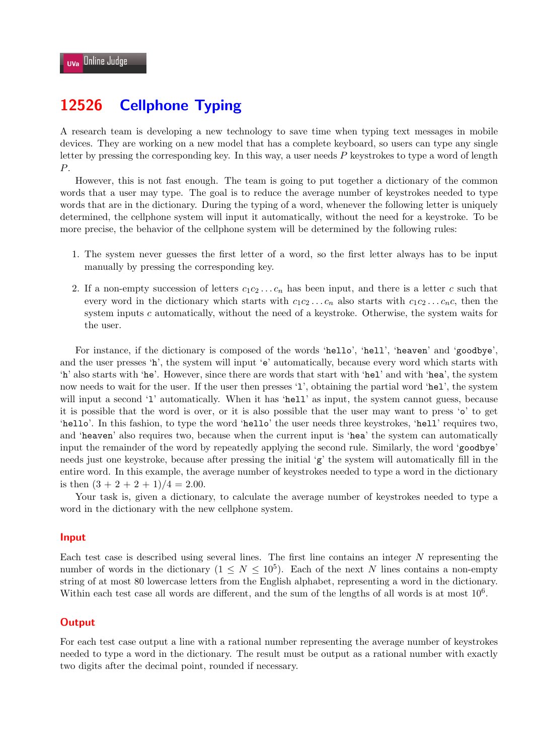# **12526 Cellphone Typing**

A research team is developing a new technology to save time when typing text messages in mobile devices. They are working on a new model that has a complete keyboard, so users can type any single letter by pressing the corresponding key. In this way, a user needs *P* keystrokes to type a word of length *P*.

However, this is not fast enough. The team is going to put together a dictionary of the common words that a user may type. The goal is to reduce the average number of keystrokes needed to type words that are in the dictionary. During the typing of a word, whenever the following letter is uniquely determined, the cellphone system will input it automatically, without the need for a keystroke. To be more precise, the behavior of the cellphone system will be determined by the following rules:

- 1. The system never guesses the first letter of a word, so the first letter always has to be input manually by pressing the corresponding key.
- 2. If a non-empty succession of letters  $c_1c_2 \ldots c_n$  has been input, and there is a letter *c* such that every word in the dictionary which starts with  $c_1c_2 \ldots c_n$  also starts with  $c_1c_2 \ldots c_nc$ , then the system inputs *c* automatically, without the need of a keystroke. Otherwise, the system waits for the user.

For instance, if the dictionary is composed of the words 'hello', 'hell', 'heaven' and 'goodbye', and the user presses 'h', the system will input 'e' automatically, because every word which starts with 'h' also starts with 'he'. However, since there are words that start with 'hel' and with 'hea', the system now needs to wait for the user. If the user then presses 'l', obtaining the partial word 'hel', the system will input a second '1' automatically. When it has 'hell' as input, the system cannot guess, because it is possible that the word is over, or it is also possible that the user may want to press 'o' to get 'hello'. In this fashion, to type the word 'hello' the user needs three keystrokes, 'hell' requires two, and 'heaven' also requires two, because when the current input is 'hea' the system can automatically input the remainder of the word by repeatedly applying the second rule. Similarly, the word 'goodbye' needs just one keystroke, because after pressing the initial 'g' the system will automatically fill in the entire word. In this example, the average number of keystrokes needed to type a word in the dictionary is then  $(3 + 2 + 2 + 1)/4 = 2.00$ .

Your task is, given a dictionary, to calculate the average number of keystrokes needed to type a word in the dictionary with the new cellphone system.

#### **Input**

Each test case is described using several lines. The first line contains an integer *N* representing the number of words in the dictionary  $(1 \leq N \leq 10^5)$ . Each of the next *N* lines contains a non-empty string of at most 80 lowercase letters from the English alphabet, representing a word in the dictionary. Within each test case all words are different, and the sum of the lengths of all words is at most  $10<sup>6</sup>$ .

### **Output**

For each test case output a line with a rational number representing the average number of keystrokes needed to type a word in the dictionary. The result must be output as a rational number with exactly two digits after the decimal point, rounded if necessary.